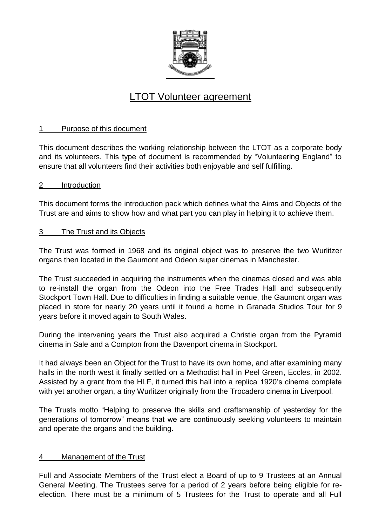

# LTOT Volunteer agreement

# 1 Purpose of this document

This document describes the working relationship between the LTOT as a corporate body and its volunteers. This type of document is recommended by "Volunteering England" to ensure that all volunteers find their activities both enjoyable and self fulfilling.

## 2 Introduction

This document forms the introduction pack which defines what the Aims and Objects of the Trust are and aims to show how and what part you can play in helping it to achieve them.

## 3 The Trust and its Objects

The Trust was formed in 1968 and its original object was to preserve the two Wurlitzer organs then located in the Gaumont and Odeon super cinemas in Manchester.

The Trust succeeded in acquiring the instruments when the cinemas closed and was able to re-install the organ from the Odeon into the Free Trades Hall and subsequently Stockport Town Hall. Due to difficulties in finding a suitable venue, the Gaumont organ was placed in store for nearly 20 years until it found a home in Granada Studios Tour for 9 years before it moved again to South Wales.

During the intervening years the Trust also acquired a Christie organ from the Pyramid cinema in Sale and a Compton from the Davenport cinema in Stockport.

It had always been an Object for the Trust to have its own home, and after examining many halls in the north west it finally settled on a Methodist hall in Peel Green, Eccles, in 2002. Assisted by a grant from the HLF, it turned this hall into a replica 1920's cinema complete with yet another organ, a tiny Wurlitzer originally from the Trocadero cinema in Liverpool.

The Trusts motto "Helping to preserve the skills and craftsmanship of yesterday for the generations of tomorrow" means that we are continuously seeking volunteers to maintain and operate the organs and the building.

# 4 Management of the Trust

Full and Associate Members of the Trust elect a Board of up to 9 Trustees at an Annual General Meeting. The Trustees serve for a period of 2 years before being eligible for reelection. There must be a minimum of 5 Trustees for the Trust to operate and all Full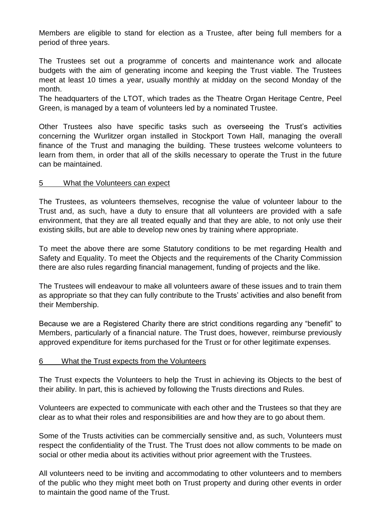Members are eligible to stand for election as a Trustee, after being full members for a period of three years.

The Trustees set out a programme of concerts and maintenance work and allocate budgets with the aim of generating income and keeping the Trust viable. The Trustees meet at least 10 times a year, usually monthly at midday on the second Monday of the month.

The headquarters of the LTOT, which trades as the Theatre Organ Heritage Centre, Peel Green, is managed by a team of volunteers led by a nominated Trustee.

Other Trustees also have specific tasks such as overseeing the Trust's activities concerning the Wurlitzer organ installed in Stockport Town Hall, managing the overall finance of the Trust and managing the building. These trustees welcome volunteers to learn from them, in order that all of the skills necessary to operate the Trust in the future can be maintained.

## 5 What the Volunteers can expect

The Trustees, as volunteers themselves, recognise the value of volunteer labour to the Trust and, as such, have a duty to ensure that all volunteers are provided with a safe environment, that they are all treated equally and that they are able, to not only use their existing skills, but are able to develop new ones by training where appropriate.

To meet the above there are some Statutory conditions to be met regarding Health and Safety and Equality. To meet the Objects and the requirements of the Charity Commission there are also rules regarding financial management, funding of projects and the like.

The Trustees will endeavour to make all volunteers aware of these issues and to train them as appropriate so that they can fully contribute to the Trusts' activities and also benefit from their Membership.

Because we are a Registered Charity there are strict conditions regarding any "benefit" to Members, particularly of a financial nature. The Trust does, however, reimburse previously approved expenditure for items purchased for the Trust or for other legitimate expenses.

#### 6 What the Trust expects from the Volunteers

The Trust expects the Volunteers to help the Trust in achieving its Objects to the best of their ability. In part, this is achieved by following the Trusts directions and Rules.

Volunteers are expected to communicate with each other and the Trustees so that they are clear as to what their roles and responsibilities are and how they are to go about them.

Some of the Trusts activities can be commercially sensitive and, as such, Volunteers must respect the confidentiality of the Trust. The Trust does not allow comments to be made on social or other media about its activities without prior agreement with the Trustees.

All volunteers need to be inviting and accommodating to other volunteers and to members of the public who they might meet both on Trust property and during other events in order to maintain the good name of the Trust.